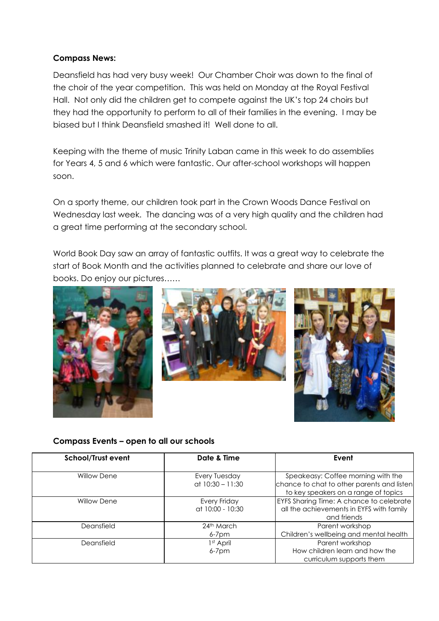## **Compass News:**

Deansfield has had very busy week! Our Chamber Choir was down to the final of the choir of the year competition. This was held on Monday at the Royal Festival Hall. Not only did the children get to compete against the UK's top 24 choirs but they had the opportunity to perform to all of their families in the evening. I may be biased but I think Deansfield smashed it! Well done to all.

Keeping with the theme of music Trinity Laban came in this week to do assemblies for Years 4, 5 and 6 which were fantastic. Our after-school workshops will happen soon.

On a sporty theme, our children took part in the Crown Woods Dance Festival on Wednesday last week. The dancing was of a very high quality and the children had a great time performing at the secondary school.

World Book Day saw an array of fantastic outfits. It was a great way to celebrate the start of Book Month and the activities planned to celebrate and share our love of books. Do enjoy our pictures……







## **Compass Events – open to all our schools**

| <b>School/Trust event</b> | Date & Time                         | Event                                                                                                                    |
|---------------------------|-------------------------------------|--------------------------------------------------------------------------------------------------------------------------|
| <b>Willow Dene</b>        | Every Tuesday<br>at $10:30 - 11:30$ | Speakeasy: Coffee morning with the<br>chance to chat to other parents and listen<br>to key speakers on a range of topics |
| <b>Willow Dene</b>        | Every Friday<br>at 10:00 - 10:30    | EYFS Sharing Time: A chance to celebrate<br>all the achievements in EYFS with family<br>and friends                      |
| Deansfield                | 24th March<br>$6 - 7$ pm            | Parent workshop<br>Children's wellbeing and mental health                                                                |
| Deansfield                | 1 <sup>st</sup> April<br>$6-7$ pm   | Parent workshop<br>How children learn and how the<br>curriculum supports them                                            |